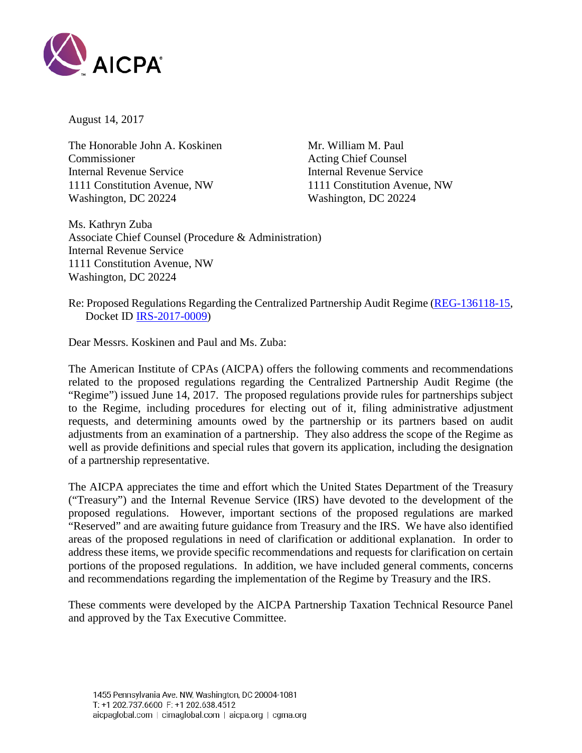

August 14, 2017

The Honorable John A. Koskinen Mr. William M. Paul Commissioner Acting Chief Counsel Internal Revenue Service **Internal Revenue Service** 1111 Constitution Avenue, NW 1111 Constitution Avenue, NW Washington, DC 20224 Washington, DC 20224

Ms. Kathryn Zuba Associate Chief Counsel (Procedure & Administration) Internal Revenue Service 1111 Constitution Avenue, NW Washington, DC 20224

Re: Proposed Regulations Regarding the Centralized Partnership Audit Regime [\(REG-136118-15,](https://www.federalregister.gov/documents/2017/06/14/2017-12308/centralized-partnership-audit-regime) Docket ID [IRS-2017-0009\)](https://www.regulations.gov/document?D=IRS-2017-0009-0001)

Dear Messrs. Koskinen and Paul and Ms. Zuba:

The American Institute of CPAs (AICPA) offers the following comments and recommendations related to the proposed regulations regarding the Centralized Partnership Audit Regime (the "Regime") issued June 14, 2017. The proposed regulations provide rules for partnerships subject to the Regime, including procedures for electing out of it, filing administrative adjustment requests, and determining amounts owed by the partnership or its partners based on audit adjustments from an examination of a partnership. They also address the scope of the Regime as well as provide definitions and special rules that govern its application, including the designation of a partnership representative.

The AICPA appreciates the time and effort which the United States Department of the Treasury ("Treasury") and the Internal Revenue Service (IRS) have devoted to the development of the proposed regulations. However, important sections of the proposed regulations are marked "Reserved" and are awaiting future guidance from Treasury and the IRS. We have also identified areas of the proposed regulations in need of clarification or additional explanation. In order to address these items, we provide specific recommendations and requests for clarification on certain portions of the proposed regulations. In addition, we have included general comments, concerns and recommendations regarding the implementation of the Regime by Treasury and the IRS.

These comments were developed by the AICPA Partnership Taxation Technical Resource Panel and approved by the Tax Executive Committee.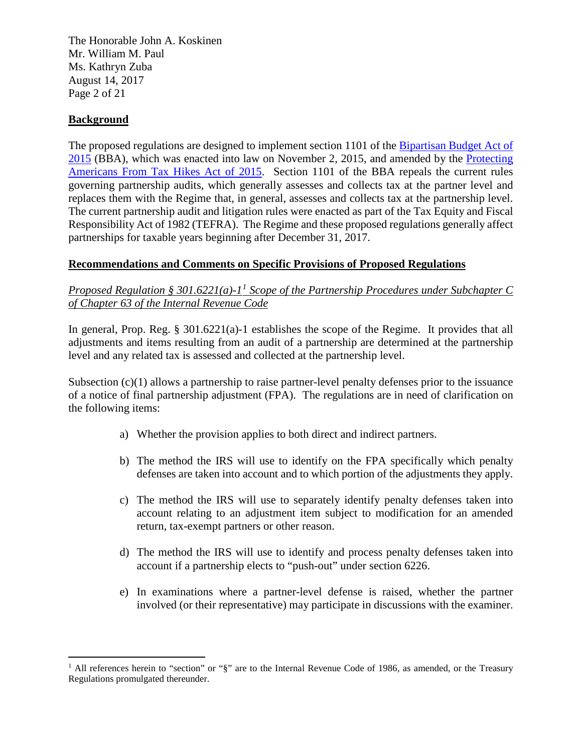The Honorable John A. Koskinen Mr. William M. Paul Ms. Kathryn Zuba August 14, 2017 Page 2 of 21

## **Background**

 $\overline{a}$ 

The proposed regulations are designed to implement section 1101 of the [Bipartisan Budget Act of](https://www.congress.gov/bill/114th-congress/house-bill/1314/text)  [2015](https://www.congress.gov/bill/114th-congress/house-bill/1314/text) (BBA), which was enacted into law on November 2, 2015, and amended by the [Protecting](https://waysandmeans.house.gov/wp-content/uploads/2015/12/PATH_Act_xml.pdf)  [Americans From Tax Hikes Act of 2015.](https://waysandmeans.house.gov/wp-content/uploads/2015/12/PATH_Act_xml.pdf) Section 1101 of the BBA repeals the current rules governing partnership audits, which generally assesses and collects tax at the partner level and replaces them with the Regime that, in general, assesses and collects tax at the partnership level. The current partnership audit and litigation rules were enacted as part of the Tax Equity and Fiscal Responsibility Act of 1982 (TEFRA). The Regime and these proposed regulations generally affect partnerships for taxable years beginning after December 31, 2017.

### **Recommendations and Comments on Specific Provisions of Proposed Regulations**

## *Proposed Regulation § 301.6221(a)-1[1](#page-1-0) Scope of the Partnership Procedures under Subchapter C of Chapter 63 of the Internal Revenue Code*

In general, Prop. Reg. § 301.6221(a)-1 establishes the scope of the Regime. It provides that all adjustments and items resulting from an audit of a partnership are determined at the partnership level and any related tax is assessed and collected at the partnership level.

Subsection (c)(1) allows a partnership to raise partner-level penalty defenses prior to the issuance of a notice of final partnership adjustment (FPA). The regulations are in need of clarification on the following items:

- a) Whether the provision applies to both direct and indirect partners.
- b) The method the IRS will use to identify on the FPA specifically which penalty defenses are taken into account and to which portion of the adjustments they apply.
- c) The method the IRS will use to separately identify penalty defenses taken into account relating to an adjustment item subject to modification for an amended return, tax-exempt partners or other reason.
- d) The method the IRS will use to identify and process penalty defenses taken into account if a partnership elects to "push-out" under section 6226.
- e) In examinations where a partner-level defense is raised, whether the partner involved (or their representative) may participate in discussions with the examiner.

<span id="page-1-0"></span><sup>&</sup>lt;sup>1</sup> All references herein to "section" or "§" are to the Internal Revenue Code of 1986, as amended, or the Treasury Regulations promulgated thereunder.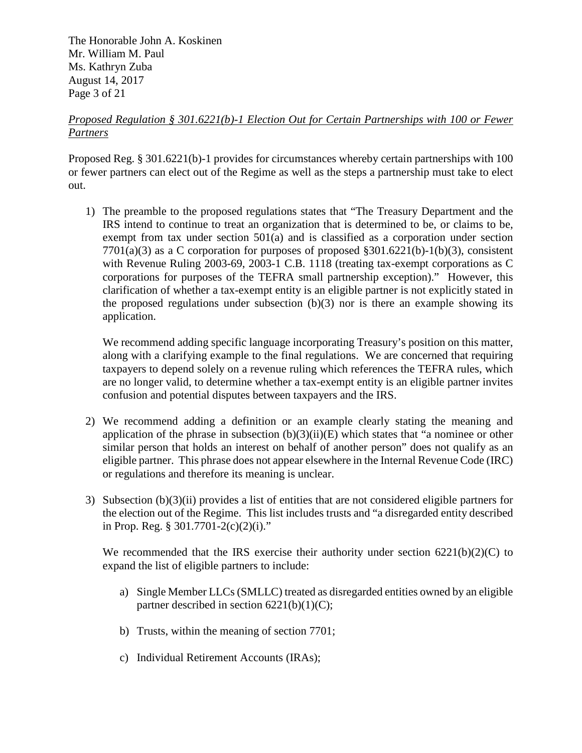The Honorable John A. Koskinen Mr. William M. Paul Ms. Kathryn Zuba August 14, 2017 Page 3 of 21

## *Proposed Regulation § 301.6221(b)-1 Election Out for Certain Partnerships with 100 or Fewer Partners*

Proposed Reg. § 301.6221(b)-1 provides for circumstances whereby certain partnerships with 100 or fewer partners can elect out of the Regime as well as the steps a partnership must take to elect out.

1) The preamble to the proposed regulations states that "The Treasury Department and the IRS intend to continue to treat an organization that is determined to be, or claims to be, exempt from tax under section 501(a) and is classified as a corporation under section  $7701(a)(3)$  as a C corporation for purposes of proposed §301.6221(b)-1(b)(3), consistent with Revenue Ruling 2003-69, 2003-1 C.B. 1118 (treating tax-exempt corporations as C corporations for purposes of the TEFRA small partnership exception)." However, this clarification of whether a tax-exempt entity is an eligible partner is not explicitly stated in the proposed regulations under subsection  $(b)(3)$  nor is there an example showing its application.

We recommend adding specific language incorporating Treasury's position on this matter, along with a clarifying example to the final regulations. We are concerned that requiring taxpayers to depend solely on a revenue ruling which references the TEFRA rules, which are no longer valid, to determine whether a tax-exempt entity is an eligible partner invites confusion and potential disputes between taxpayers and the IRS.

- 2) We recommend adding a definition or an example clearly stating the meaning and application of the phrase in subsection  $(b)(3)(ii)(E)$  which states that "a nominee or other similar person that holds an interest on behalf of another person" does not qualify as an eligible partner. This phrase does not appear elsewhere in the Internal Revenue Code (IRC) or regulations and therefore its meaning is unclear.
- 3) Subsection (b)(3)(ii) provides a list of entities that are not considered eligible partners for the election out of the Regime. This list includes trusts and "a disregarded entity described in Prop. Reg. §  $301.7701 - 2(c)(2)(i)$ ."

We recommended that the IRS exercise their authority under section  $6221(b)(2)(C)$  to expand the list of eligible partners to include:

- a) Single Member LLCs (SMLLC) treated as disregarded entities owned by an eligible partner described in section  $6221(b)(1)(C)$ ;
- b) Trusts, within the meaning of section 7701;
- c) Individual Retirement Accounts (IRAs);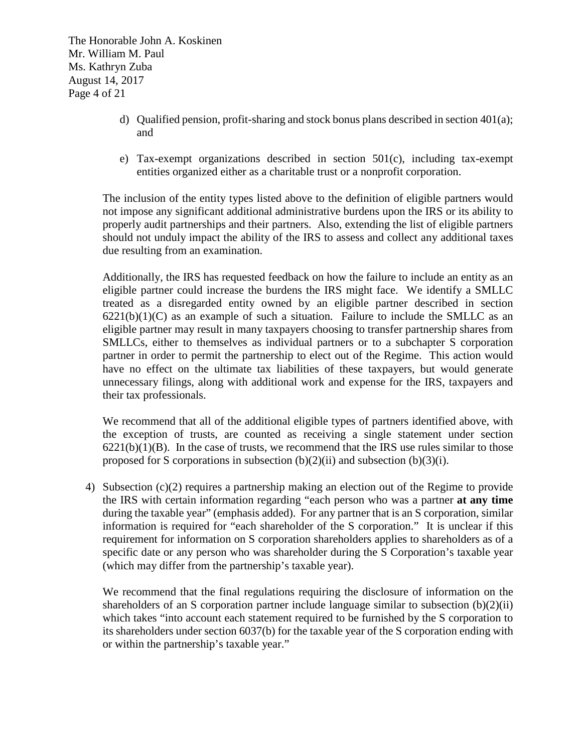The Honorable John A. Koskinen Mr. William M. Paul Ms. Kathryn Zuba August 14, 2017 Page 4 of 21

- d) Qualified pension, profit-sharing and stock bonus plans described in section 401(a); and
- e) Tax-exempt organizations described in section 501(c), including tax-exempt entities organized either as a charitable trust or a nonprofit corporation.

The inclusion of the entity types listed above to the definition of eligible partners would not impose any significant additional administrative burdens upon the IRS or its ability to properly audit partnerships and their partners. Also, extending the list of eligible partners should not unduly impact the ability of the IRS to assess and collect any additional taxes due resulting from an examination.

Additionally, the IRS has requested feedback on how the failure to include an entity as an eligible partner could increase the burdens the IRS might face. We identify a SMLLC treated as a disregarded entity owned by an eligible partner described in section  $6221(b)(1)(C)$  as an example of such a situation. Failure to include the SMLLC as an eligible partner may result in many taxpayers choosing to transfer partnership shares from SMLLCs, either to themselves as individual partners or to a subchapter S corporation partner in order to permit the partnership to elect out of the Regime. This action would have no effect on the ultimate tax liabilities of these taxpayers, but would generate unnecessary filings, along with additional work and expense for the IRS, taxpayers and their tax professionals.

We recommend that all of the additional eligible types of partners identified above, with the exception of trusts, are counted as receiving a single statement under section  $6221(b)(1)(B)$ . In the case of trusts, we recommend that the IRS use rules similar to those proposed for S corporations in subsection  $(b)(2)(ii)$  and subsection  $(b)(3)(i)$ .

4) Subsection (c)(2) requires a partnership making an election out of the Regime to provide the IRS with certain information regarding "each person who was a partner **at any time**  during the taxable year" (emphasis added). For any partner that is an S corporation, similar information is required for "each shareholder of the S corporation." It is unclear if this requirement for information on S corporation shareholders applies to shareholders as of a specific date or any person who was shareholder during the S Corporation's taxable year (which may differ from the partnership's taxable year).

We recommend that the final regulations requiring the disclosure of information on the shareholders of an S corporation partner include language similar to subsection (b)(2)(ii) which takes "into account each statement required to be furnished by the S corporation to its shareholders under section 6037(b) for the taxable year of the S corporation ending with or within the partnership's taxable year."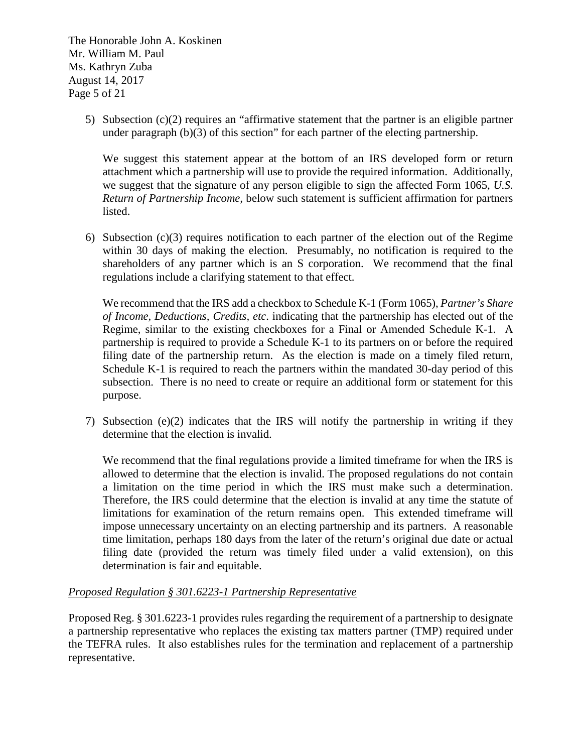The Honorable John A. Koskinen Mr. William M. Paul Ms. Kathryn Zuba August 14, 2017 Page 5 of 21

> 5) Subsection (c)(2) requires an "affirmative statement that the partner is an eligible partner under paragraph (b)(3) of this section" for each partner of the electing partnership.

We suggest this statement appear at the bottom of an IRS developed form or return attachment which a partnership will use to provide the required information. Additionally, we suggest that the signature of any person eligible to sign the affected Form 1065, *U.S. Return of Partnership Income,* below such statement is sufficient affirmation for partners listed.

6) Subsection  $(c)(3)$  requires notification to each partner of the election out of the Regime within 30 days of making the election. Presumably, no notification is required to the shareholders of any partner which is an S corporation. We recommend that the final regulations include a clarifying statement to that effect.

We recommend that the IRS add a checkbox to Schedule K-1 (Form 1065), *Partner's Share of Income, Deductions, Credits, etc*. indicating that the partnership has elected out of the Regime, similar to the existing checkboxes for a Final or Amended Schedule K-1. A partnership is required to provide a Schedule K-1 to its partners on or before the required filing date of the partnership return. As the election is made on a timely filed return, Schedule K-1 is required to reach the partners within the mandated 30-day period of this subsection. There is no need to create or require an additional form or statement for this purpose.

7) Subsection (e)(2) indicates that the IRS will notify the partnership in writing if they determine that the election is invalid.

We recommend that the final regulations provide a limited timeframe for when the IRS is allowed to determine that the election is invalid. The proposed regulations do not contain a limitation on the time period in which the IRS must make such a determination. Therefore, the IRS could determine that the election is invalid at any time the statute of limitations for examination of the return remains open. This extended timeframe will impose unnecessary uncertainty on an electing partnership and its partners. A reasonable time limitation, perhaps 180 days from the later of the return's original due date or actual filing date (provided the return was timely filed under a valid extension), on this determination is fair and equitable.

## *Proposed Regulation § 301.6223-1 Partnership Representative*

Proposed Reg. § 301.6223-1 provides rules regarding the requirement of a partnership to designate a partnership representative who replaces the existing tax matters partner (TMP) required under the TEFRA rules. It also establishes rules for the termination and replacement of a partnership representative.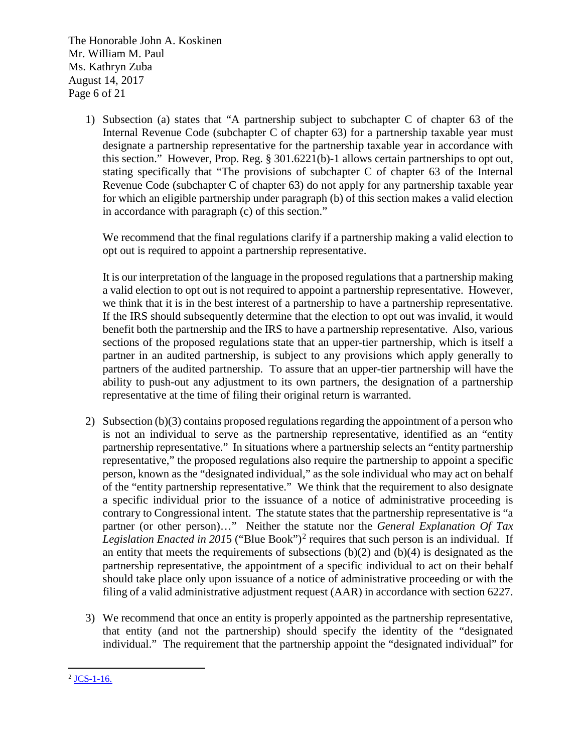The Honorable John A. Koskinen Mr. William M. Paul Ms. Kathryn Zuba August 14, 2017 Page 6 of 21

> 1) Subsection (a) states that "A partnership subject to subchapter C of chapter 63 of the Internal Revenue Code (subchapter C of chapter 63) for a partnership taxable year must designate a partnership representative for the partnership taxable year in accordance with this section." However, Prop. Reg. § 301.6221(b)-1 allows certain partnerships to opt out, stating specifically that "The provisions of subchapter C of chapter 63 of the Internal Revenue Code (subchapter C of chapter 63) do not apply for any partnership taxable year for which an eligible partnership under paragraph (b) of this section makes a valid election in accordance with paragraph (c) of this section."

We recommend that the final regulations clarify if a partnership making a valid election to opt out is required to appoint a partnership representative.

It is our interpretation of the language in the proposed regulations that a partnership making a valid election to opt out is not required to appoint a partnership representative. However, we think that it is in the best interest of a partnership to have a partnership representative. If the IRS should subsequently determine that the election to opt out was invalid, it would benefit both the partnership and the IRS to have a partnership representative. Also, various sections of the proposed regulations state that an upper-tier partnership, which is itself a partner in an audited partnership, is subject to any provisions which apply generally to partners of the audited partnership. To assure that an upper-tier partnership will have the ability to push-out any adjustment to its own partners, the designation of a partnership representative at the time of filing their original return is warranted.

- 2) Subsection (b)(3) contains proposed regulations regarding the appointment of a person who is not an individual to serve as the partnership representative, identified as an "entity partnership representative." In situations where a partnership selects an "entity partnership representative," the proposed regulations also require the partnership to appoint a specific person, known as the "designated individual," as the sole individual who may act on behalf of the "entity partnership representative." We think that the requirement to also designate a specific individual prior to the issuance of a notice of administrative proceeding is contrary to Congressional intent. The statute states that the partnership representative is "a partner (or other person)…" Neither the statute nor the *General Explanation Of Tax Legislation Enacted in 201*5 ("Blue Book")[2](#page-5-0) requires that such person is an individual. If an entity that meets the requirements of subsections  $(b)(2)$  and  $(b)(4)$  is designated as the partnership representative, the appointment of a specific individual to act on their behalf should take place only upon issuance of a notice of administrative proceeding or with the filing of a valid administrative adjustment request (AAR) in accordance with section 6227.
- 3) We recommend that once an entity is properly appointed as the partnership representative, that entity (and not the partnership) should specify the identity of the "designated individual." The requirement that the partnership appoint the "designated individual" for

<span id="page-5-0"></span> $\overline{a}$  $2$  [JCS-1-16.](https://www.jct.gov/publications.html?func=startdown&id=4874)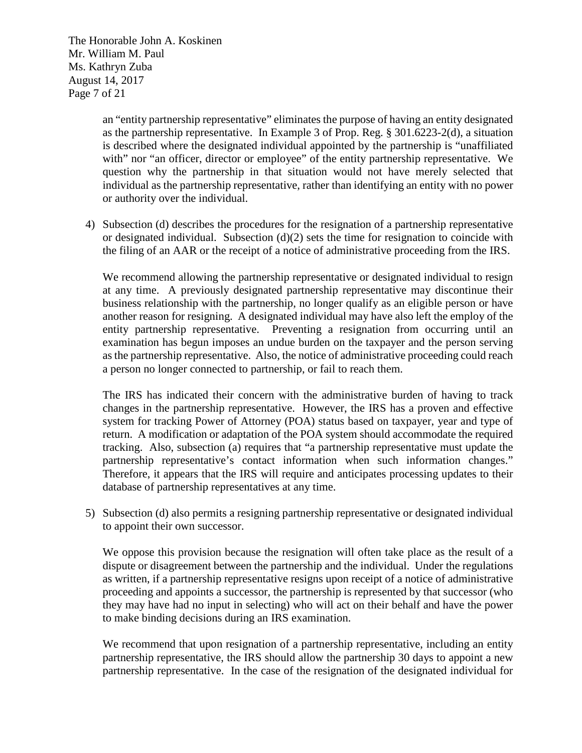The Honorable John A. Koskinen Mr. William M. Paul Ms. Kathryn Zuba August 14, 2017 Page 7 of 21

> an "entity partnership representative" eliminates the purpose of having an entity designated as the partnership representative. In Example 3 of Prop. Reg. § 301.6223-2(d), a situation is described where the designated individual appointed by the partnership is "unaffiliated with" nor "an officer, director or employee" of the entity partnership representative. We question why the partnership in that situation would not have merely selected that individual as the partnership representative, rather than identifying an entity with no power or authority over the individual.

4) Subsection (d) describes the procedures for the resignation of a partnership representative or designated individual. Subsection  $(d)(2)$  sets the time for resignation to coincide with the filing of an AAR or the receipt of a notice of administrative proceeding from the IRS.

We recommend allowing the partnership representative or designated individual to resign at any time. A previously designated partnership representative may discontinue their business relationship with the partnership, no longer qualify as an eligible person or have another reason for resigning. A designated individual may have also left the employ of the entity partnership representative. Preventing a resignation from occurring until an examination has begun imposes an undue burden on the taxpayer and the person serving as the partnership representative. Also, the notice of administrative proceeding could reach a person no longer connected to partnership, or fail to reach them.

The IRS has indicated their concern with the administrative burden of having to track changes in the partnership representative. However, the IRS has a proven and effective system for tracking Power of Attorney (POA) status based on taxpayer, year and type of return. A modification or adaptation of the POA system should accommodate the required tracking. Also, subsection (a) requires that "a partnership representative must update the partnership representative's contact information when such information changes." Therefore, it appears that the IRS will require and anticipates processing updates to their database of partnership representatives at any time.

5) Subsection (d) also permits a resigning partnership representative or designated individual to appoint their own successor.

We oppose this provision because the resignation will often take place as the result of a dispute or disagreement between the partnership and the individual. Under the regulations as written, if a partnership representative resigns upon receipt of a notice of administrative proceeding and appoints a successor, the partnership is represented by that successor (who they may have had no input in selecting) who will act on their behalf and have the power to make binding decisions during an IRS examination.

We recommend that upon resignation of a partnership representative, including an entity partnership representative, the IRS should allow the partnership 30 days to appoint a new partnership representative. In the case of the resignation of the designated individual for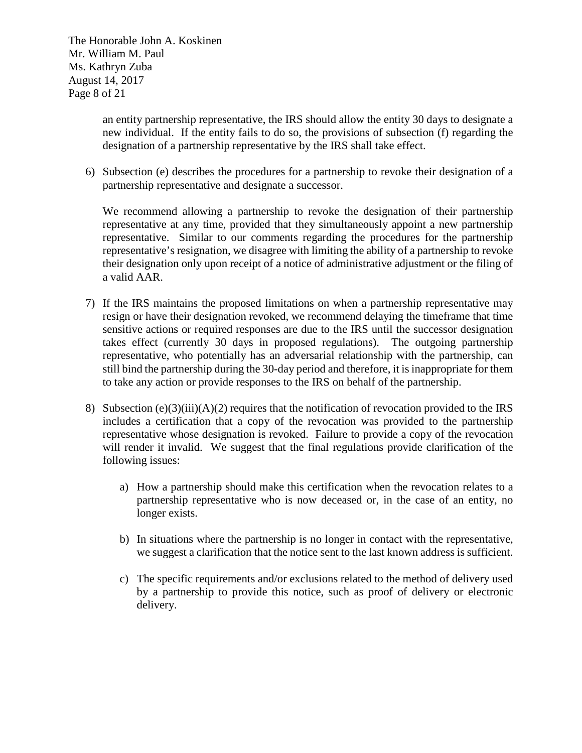The Honorable John A. Koskinen Mr. William M. Paul Ms. Kathryn Zuba August 14, 2017 Page 8 of 21

> an entity partnership representative, the IRS should allow the entity 30 days to designate a new individual. If the entity fails to do so, the provisions of subsection (f) regarding the designation of a partnership representative by the IRS shall take effect.

6) Subsection (e) describes the procedures for a partnership to revoke their designation of a partnership representative and designate a successor.

We recommend allowing a partnership to revoke the designation of their partnership representative at any time, provided that they simultaneously appoint a new partnership representative. Similar to our comments regarding the procedures for the partnership representative's resignation, we disagree with limiting the ability of a partnership to revoke their designation only upon receipt of a notice of administrative adjustment or the filing of a valid AAR.

- 7) If the IRS maintains the proposed limitations on when a partnership representative may resign or have their designation revoked, we recommend delaying the timeframe that time sensitive actions or required responses are due to the IRS until the successor designation takes effect (currently 30 days in proposed regulations). The outgoing partnership representative, who potentially has an adversarial relationship with the partnership, can still bind the partnership during the 30-day period and therefore, it is inappropriate for them to take any action or provide responses to the IRS on behalf of the partnership.
- 8) Subsection (e)(3)(iii)(A)(2) requires that the notification of revocation provided to the IRS includes a certification that a copy of the revocation was provided to the partnership representative whose designation is revoked. Failure to provide a copy of the revocation will render it invalid. We suggest that the final regulations provide clarification of the following issues:
	- a) How a partnership should make this certification when the revocation relates to a partnership representative who is now deceased or, in the case of an entity, no longer exists.
	- b) In situations where the partnership is no longer in contact with the representative, we suggest a clarification that the notice sent to the last known address is sufficient.
	- c) The specific requirements and/or exclusions related to the method of delivery used by a partnership to provide this notice, such as proof of delivery or electronic delivery.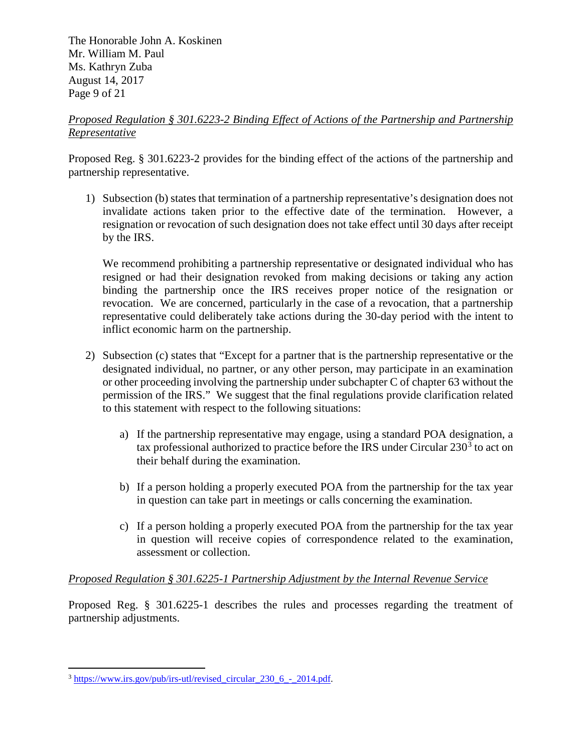The Honorable John A. Koskinen Mr. William M. Paul Ms. Kathryn Zuba August 14, 2017 Page 9 of 21

## *Proposed Regulation § 301.6223-2 Binding Effect of Actions of the Partnership and Partnership Representative*

Proposed Reg. § 301.6223-2 provides for the binding effect of the actions of the partnership and partnership representative.

1) Subsection (b) states that termination of a partnership representative's designation does not invalidate actions taken prior to the effective date of the termination. However, a resignation or revocation of such designation does not take effect until 30 days after receipt by the IRS.

We recommend prohibiting a partnership representative or designated individual who has resigned or had their designation revoked from making decisions or taking any action binding the partnership once the IRS receives proper notice of the resignation or revocation. We are concerned, particularly in the case of a revocation, that a partnership representative could deliberately take actions during the 30-day period with the intent to inflict economic harm on the partnership.

- 2) Subsection (c) states that "Except for a partner that is the partnership representative or the designated individual, no partner, or any other person, may participate in an examination or other proceeding involving the partnership under subchapter C of chapter 63 without the permission of the IRS." We suggest that the final regulations provide clarification related to this statement with respect to the following situations:
	- a) If the partnership representative may engage, using a standard POA designation, a tax professional authorized to practice before the IRS under Circular  $230<sup>3</sup>$  $230<sup>3</sup>$  $230<sup>3</sup>$  to act on their behalf during the examination.
	- b) If a person holding a properly executed POA from the partnership for the tax year in question can take part in meetings or calls concerning the examination.
	- c) If a person holding a properly executed POA from the partnership for the tax year in question will receive copies of correspondence related to the examination, assessment or collection.

## *Proposed Regulation § 301.6225-1 Partnership Adjustment by the Internal Revenue Service*

Proposed Reg. § 301.6225-1 describes the rules and processes regarding the treatment of partnership adjustments.

<span id="page-8-0"></span> $\overline{a}$ <sup>3</sup> [https://www.irs.gov/pub/irs-utl/revised\\_circular\\_230\\_6\\_-\\_2014.pdf.](https://www.irs.gov/pub/irs-utl/revised_circular_230_6_-_2014.pdf)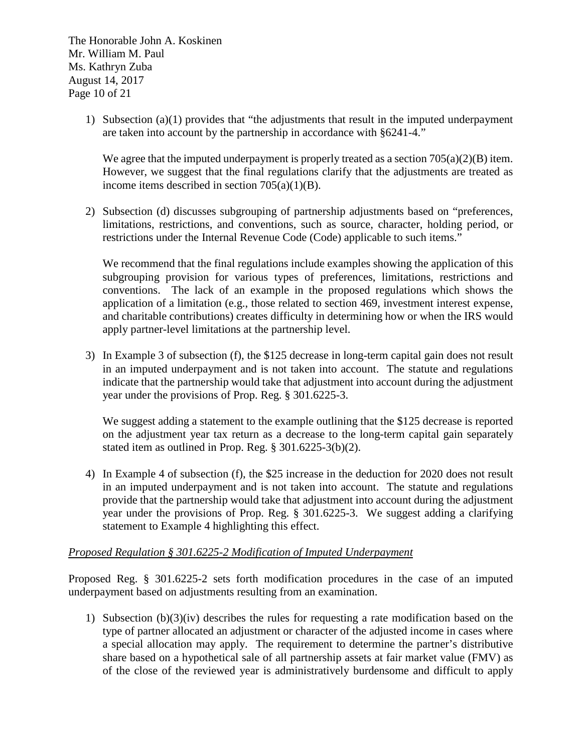The Honorable John A. Koskinen Mr. William M. Paul Ms. Kathryn Zuba August 14, 2017 Page 10 of 21

> 1) Subsection (a)(1) provides that "the adjustments that result in the imputed underpayment are taken into account by the partnership in accordance with §6241-4."

We agree that the imputed underpayment is properly treated as a section  $705(a)(2)(B)$  item. However, we suggest that the final regulations clarify that the adjustments are treated as income items described in section 705(a)(1)(B).

2) Subsection (d) discusses subgrouping of partnership adjustments based on "preferences, limitations, restrictions, and conventions, such as source, character, holding period, or restrictions under the Internal Revenue Code (Code) applicable to such items."

We recommend that the final regulations include examples showing the application of this subgrouping provision for various types of preferences, limitations, restrictions and conventions. The lack of an example in the proposed regulations which shows the application of a limitation (e.g., those related to section 469, investment interest expense, and charitable contributions) creates difficulty in determining how or when the IRS would apply partner-level limitations at the partnership level.

3) In Example 3 of subsection (f), the \$125 decrease in long-term capital gain does not result in an imputed underpayment and is not taken into account. The statute and regulations indicate that the partnership would take that adjustment into account during the adjustment year under the provisions of Prop. Reg. § 301.6225-3.

We suggest adding a statement to the example outlining that the \$125 decrease is reported on the adjustment year tax return as a decrease to the long-term capital gain separately stated item as outlined in Prop. Reg. § 301.6225-3(b)(2).

4) In Example 4 of subsection (f), the \$25 increase in the deduction for 2020 does not result in an imputed underpayment and is not taken into account. The statute and regulations provide that the partnership would take that adjustment into account during the adjustment year under the provisions of Prop. Reg. § 301.6225-3. We suggest adding a clarifying statement to Example 4 highlighting this effect.

## *Proposed Regulation § 301.6225-2 Modification of Imputed Underpayment*

Proposed Reg. § 301.6225-2 sets forth modification procedures in the case of an imputed underpayment based on adjustments resulting from an examination.

1) Subsection (b)(3)(iv) describes the rules for requesting a rate modification based on the type of partner allocated an adjustment or character of the adjusted income in cases where a special allocation may apply. The requirement to determine the partner's distributive share based on a hypothetical sale of all partnership assets at fair market value (FMV) as of the close of the reviewed year is administratively burdensome and difficult to apply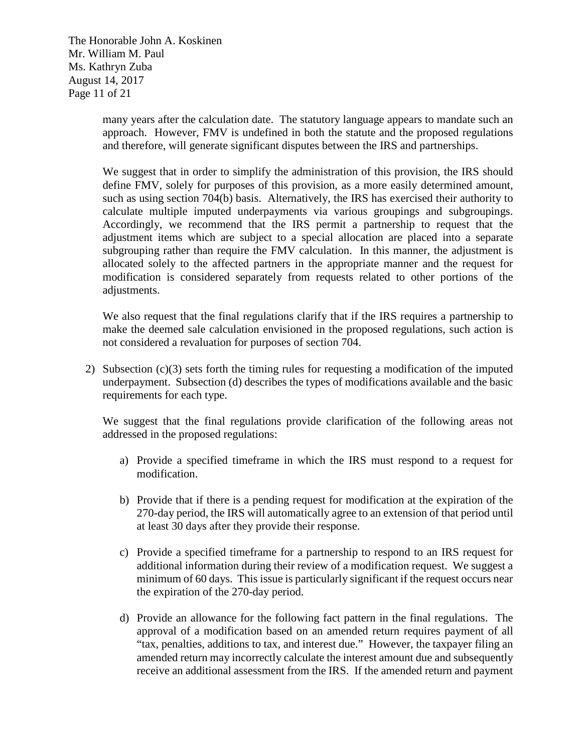The Honorable John A. Koskinen Mr. William M. Paul Ms. Kathryn Zuba August 14, 2017 Page 11 of 21

> many years after the calculation date. The statutory language appears to mandate such an approach. However, FMV is undefined in both the statute and the proposed regulations and therefore, will generate significant disputes between the IRS and partnerships.

> We suggest that in order to simplify the administration of this provision, the IRS should define FMV, solely for purposes of this provision, as a more easily determined amount, such as using section 704(b) basis. Alternatively, the IRS has exercised their authority to calculate multiple imputed underpayments via various groupings and subgroupings. Accordingly, we recommend that the IRS permit a partnership to request that the adjustment items which are subject to a special allocation are placed into a separate subgrouping rather than require the FMV calculation. In this manner, the adjustment is allocated solely to the affected partners in the appropriate manner and the request for modification is considered separately from requests related to other portions of the adjustments.

> We also request that the final regulations clarify that if the IRS requires a partnership to make the deemed sale calculation envisioned in the proposed regulations, such action is not considered a revaluation for purposes of section 704.

2) Subsection (c)(3) sets forth the timing rules for requesting a modification of the imputed underpayment. Subsection (d) describes the types of modifications available and the basic requirements for each type.

We suggest that the final regulations provide clarification of the following areas not addressed in the proposed regulations:

- a) Provide a specified timeframe in which the IRS must respond to a request for modification.
- b) Provide that if there is a pending request for modification at the expiration of the 270-day period, the IRS will automatically agree to an extension of that period until at least 30 days after they provide their response.
- c) Provide a specified timeframe for a partnership to respond to an IRS request for additional information during their review of a modification request. We suggest a minimum of 60 days. This issue is particularly significant if the request occurs near the expiration of the 270-day period.
- d) Provide an allowance for the following fact pattern in the final regulations. The approval of a modification based on an amended return requires payment of all "tax, penalties, additions to tax, and interest due." However, the taxpayer filing an amended return may incorrectly calculate the interest amount due and subsequently receive an additional assessment from the IRS. If the amended return and payment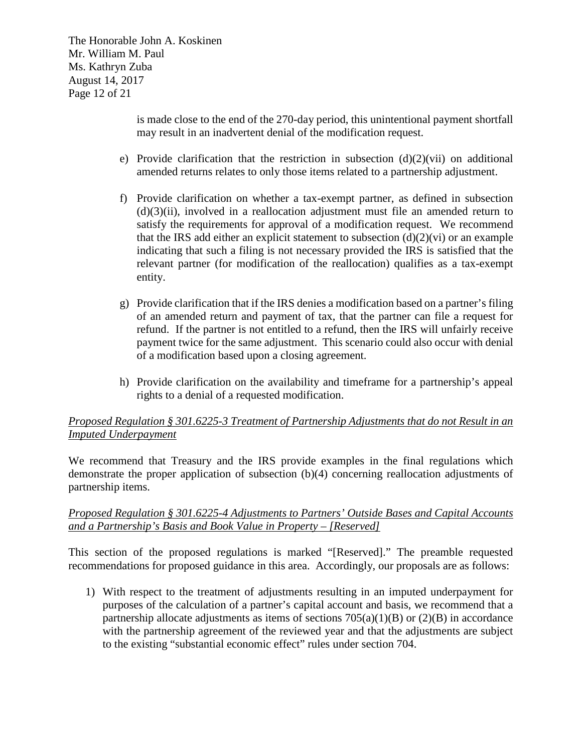The Honorable John A. Koskinen Mr. William M. Paul Ms. Kathryn Zuba August 14, 2017 Page 12 of 21

> is made close to the end of the 270-day period, this unintentional payment shortfall may result in an inadvertent denial of the modification request.

- e) Provide clarification that the restriction in subsection  $(d)(2)(vi)$  on additional amended returns relates to only those items related to a partnership adjustment.
- f) Provide clarification on whether a tax-exempt partner, as defined in subsection  $(d)(3)(ii)$ , involved in a reallocation adjustment must file an amended return to satisfy the requirements for approval of a modification request. We recommend that the IRS add either an explicit statement to subsection  $(d)(2)(vi)$  or an example indicating that such a filing is not necessary provided the IRS is satisfied that the relevant partner (for modification of the reallocation) qualifies as a tax-exempt entity.
- g) Provide clarification that if the IRS denies a modification based on a partner's filing of an amended return and payment of tax, that the partner can file a request for refund. If the partner is not entitled to a refund, then the IRS will unfairly receive payment twice for the same adjustment. This scenario could also occur with denial of a modification based upon a closing agreement.
- h) Provide clarification on the availability and timeframe for a partnership's appeal rights to a denial of a requested modification.

## *Proposed Regulation § 301.6225-3 Treatment of Partnership Adjustments that do not Result in an Imputed Underpayment*

We recommend that Treasury and the IRS provide examples in the final regulations which demonstrate the proper application of subsection (b)(4) concerning reallocation adjustments of partnership items.

## *Proposed Regulation § 301.6225-4 Adjustments to Partners' Outside Bases and Capital Accounts and a Partnership's Basis and Book Value in Property – [Reserved]*

This section of the proposed regulations is marked "[Reserved]." The preamble requested recommendations for proposed guidance in this area. Accordingly, our proposals are as follows:

1) With respect to the treatment of adjustments resulting in an imputed underpayment for purposes of the calculation of a partner's capital account and basis, we recommend that a partnership allocate adjustments as items of sections  $705(a)(1)(B)$  or  $(2)(B)$  in accordance with the partnership agreement of the reviewed year and that the adjustments are subject to the existing "substantial economic effect" rules under section 704.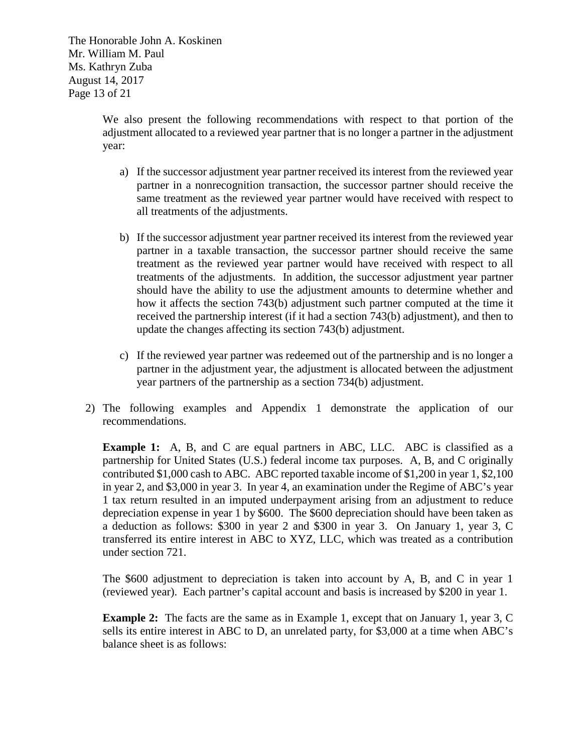The Honorable John A. Koskinen Mr. William M. Paul Ms. Kathryn Zuba August 14, 2017 Page 13 of 21

> We also present the following recommendations with respect to that portion of the adjustment allocated to a reviewed year partner that is no longer a partner in the adjustment year:

- a) If the successor adjustment year partner received its interest from the reviewed year partner in a nonrecognition transaction, the successor partner should receive the same treatment as the reviewed year partner would have received with respect to all treatments of the adjustments.
- b) If the successor adjustment year partner received its interest from the reviewed year partner in a taxable transaction, the successor partner should receive the same treatment as the reviewed year partner would have received with respect to all treatments of the adjustments. In addition, the successor adjustment year partner should have the ability to use the adjustment amounts to determine whether and how it affects the section 743(b) adjustment such partner computed at the time it received the partnership interest (if it had a section 743(b) adjustment), and then to update the changes affecting its section 743(b) adjustment.
- c) If the reviewed year partner was redeemed out of the partnership and is no longer a partner in the adjustment year, the adjustment is allocated between the adjustment year partners of the partnership as a section 734(b) adjustment.
- 2) The following examples and Appendix 1 demonstrate the application of our recommendations.

**Example 1:** A, B, and C are equal partners in ABC, LLC. ABC is classified as a partnership for United States (U.S.) federal income tax purposes. A, B, and C originally contributed \$1,000 cash to ABC. ABC reported taxable income of \$1,200 in year 1, \$2,100 in year 2, and \$3,000 in year 3. In year 4, an examination under the Regime of ABC's year 1 tax return resulted in an imputed underpayment arising from an adjustment to reduce depreciation expense in year 1 by \$600. The \$600 depreciation should have been taken as a deduction as follows: \$300 in year 2 and \$300 in year 3. On January 1, year 3, C transferred its entire interest in ABC to XYZ, LLC, which was treated as a contribution under section 721.

The \$600 adjustment to depreciation is taken into account by A, B, and C in year 1 (reviewed year). Each partner's capital account and basis is increased by \$200 in year 1.

**Example 2:** The facts are the same as in Example 1, except that on January 1, year 3, C sells its entire interest in ABC to D, an unrelated party, for \$3,000 at a time when ABC's balance sheet is as follows: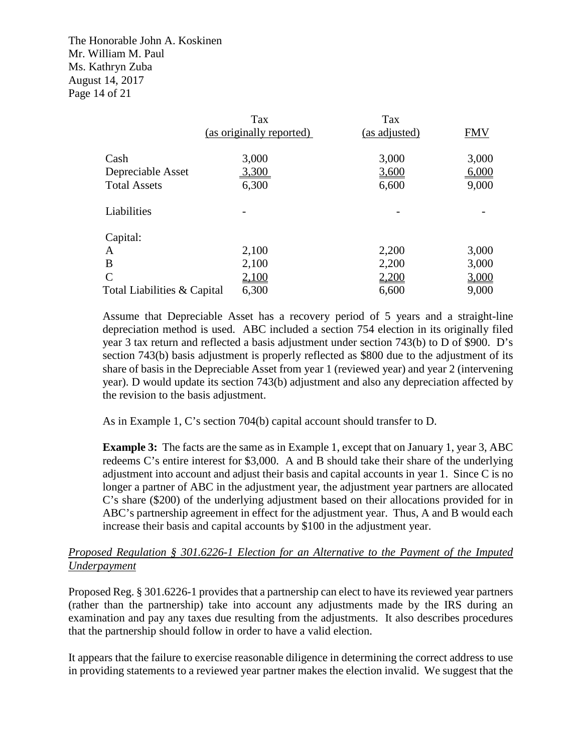The Honorable John A. Koskinen Mr. William M. Paul Ms. Kathryn Zuba August 14, 2017 Page 14 of 21

|                             | Tax                      | Tax           |            |
|-----------------------------|--------------------------|---------------|------------|
|                             | (as originally reported) | (as adjusted) | <b>FMV</b> |
|                             |                          |               |            |
| Cash                        | 3,000                    | 3,000         | 3,000      |
| Depreciable Asset           | 3,300                    | 3,600         | 6,000      |
| <b>Total Assets</b>         | 6,300                    | 6,600         | 9,000      |
| Liabilities                 |                          |               |            |
| Capital:                    |                          |               |            |
| $\mathbf{A}$                | 2,100                    | 2,200         | 3,000      |
| B                           | 2,100                    | 2,200         | 3,000      |
| $\mathcal{C}$               | 2,100                    | 2,200         | 3,000      |
| Total Liabilities & Capital | 6,300                    | 6,600         | 9,000      |

Assume that Depreciable Asset has a recovery period of 5 years and a straight-line depreciation method is used. ABC included a section 754 election in its originally filed year 3 tax return and reflected a basis adjustment under section 743(b) to D of \$900. D's section 743(b) basis adjustment is properly reflected as \$800 due to the adjustment of its share of basis in the Depreciable Asset from year 1 (reviewed year) and year 2 (intervening year). D would update its section 743(b) adjustment and also any depreciation affected by the revision to the basis adjustment.

As in Example 1, C's section 704(b) capital account should transfer to D.

**Example 3:** The facts are the same as in Example 1, except that on January 1, year 3, ABC redeems C's entire interest for \$3,000. A and B should take their share of the underlying adjustment into account and adjust their basis and capital accounts in year 1. Since C is no longer a partner of ABC in the adjustment year, the adjustment year partners are allocated C's share (\$200) of the underlying adjustment based on their allocations provided for in ABC's partnership agreement in effect for the adjustment year. Thus, A and B would each increase their basis and capital accounts by \$100 in the adjustment year.

### *Proposed Regulation § 301.6226-1 Election for an Alternative to the Payment of the Imputed Underpayment*

Proposed Reg. § 301.6226-1 provides that a partnership can elect to have its reviewed year partners (rather than the partnership) take into account any adjustments made by the IRS during an examination and pay any taxes due resulting from the adjustments. It also describes procedures that the partnership should follow in order to have a valid election.

It appears that the failure to exercise reasonable diligence in determining the correct address to use in providing statements to a reviewed year partner makes the election invalid. We suggest that the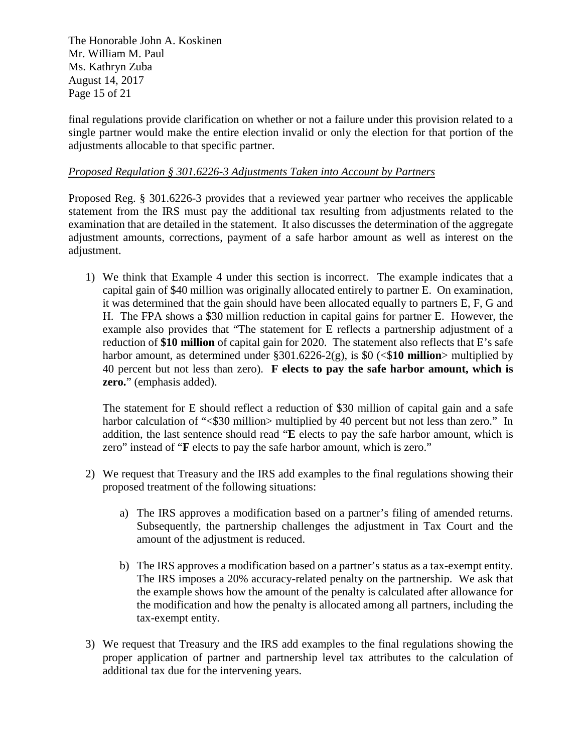The Honorable John A. Koskinen Mr. William M. Paul Ms. Kathryn Zuba August 14, 2017 Page 15 of 21

final regulations provide clarification on whether or not a failure under this provision related to a single partner would make the entire election invalid or only the election for that portion of the adjustments allocable to that specific partner.

### *Proposed Regulation § 301.6226-3 Adjustments Taken into Account by Partners*

Proposed Reg. § 301.6226-3 provides that a reviewed year partner who receives the applicable statement from the IRS must pay the additional tax resulting from adjustments related to the examination that are detailed in the statement. It also discusses the determination of the aggregate adjustment amounts, corrections, payment of a safe harbor amount as well as interest on the adjustment.

1) We think that Example 4 under this section is incorrect. The example indicates that a capital gain of \$40 million was originally allocated entirely to partner E. On examination, it was determined that the gain should have been allocated equally to partners E, F, G and H. The FPA shows a \$30 million reduction in capital gains for partner E. However, the example also provides that "The statement for E reflects a partnership adjustment of a reduction of **\$10 million** of capital gain for 2020. The statement also reflects that E's safe harbor amount, as determined under  $\S 301.6226-2(g)$ , is  $\S 0 \leq 10$  million > multiplied by 40 percent but not less than zero). **F elects to pay the safe harbor amount, which is zero.**" (emphasis added).

The statement for E should reflect a reduction of \$30 million of capital gain and a safe harbor calculation of "<\$30 million> multiplied by 40 percent but not less than zero." In addition, the last sentence should read "**E** elects to pay the safe harbor amount, which is zero" instead of "**F** elects to pay the safe harbor amount, which is zero."

- 2) We request that Treasury and the IRS add examples to the final regulations showing their proposed treatment of the following situations:
	- a) The IRS approves a modification based on a partner's filing of amended returns. Subsequently, the partnership challenges the adjustment in Tax Court and the amount of the adjustment is reduced.
	- b) The IRS approves a modification based on a partner's status as a tax-exempt entity. The IRS imposes a 20% accuracy-related penalty on the partnership. We ask that the example shows how the amount of the penalty is calculated after allowance for the modification and how the penalty is allocated among all partners, including the tax-exempt entity.
- 3) We request that Treasury and the IRS add examples to the final regulations showing the proper application of partner and partnership level tax attributes to the calculation of additional tax due for the intervening years.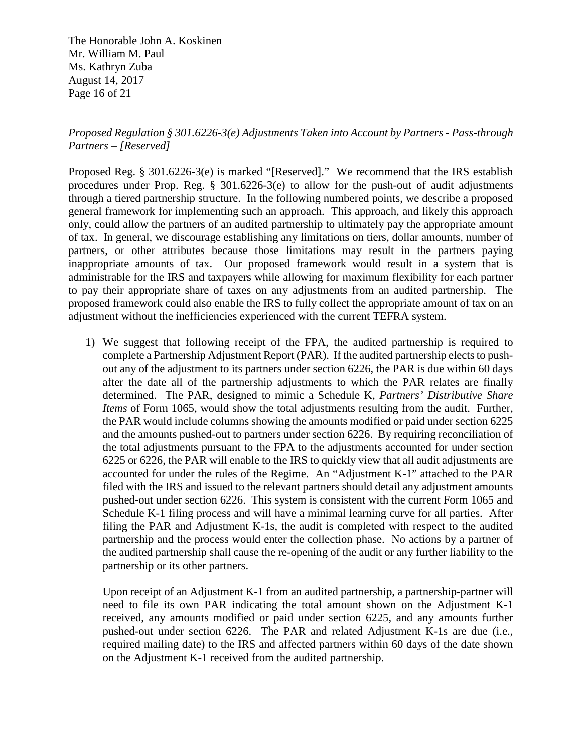The Honorable John A. Koskinen Mr. William M. Paul Ms. Kathryn Zuba August 14, 2017 Page 16 of 21

## *Proposed Regulation § 301.6226-3(e) Adjustments Taken into Account by Partners - Pass-through Partners – [Reserved]*

Proposed Reg. § 301.6226-3(e) is marked "[Reserved]." We recommend that the IRS establish procedures under Prop. Reg. § 301.6226-3(e) to allow for the push-out of audit adjustments through a tiered partnership structure. In the following numbered points, we describe a proposed general framework for implementing such an approach. This approach, and likely this approach only, could allow the partners of an audited partnership to ultimately pay the appropriate amount of tax. In general, we discourage establishing any limitations on tiers, dollar amounts, number of partners, or other attributes because those limitations may result in the partners paying inappropriate amounts of tax. Our proposed framework would result in a system that is administrable for the IRS and taxpayers while allowing for maximum flexibility for each partner to pay their appropriate share of taxes on any adjustments from an audited partnership. The proposed framework could also enable the IRS to fully collect the appropriate amount of tax on an adjustment without the inefficiencies experienced with the current TEFRA system.

1) We suggest that following receipt of the FPA, the audited partnership is required to complete a Partnership Adjustment Report (PAR). If the audited partnership elects to pushout any of the adjustment to its partners under section 6226, the PAR is due within 60 days after the date all of the partnership adjustments to which the PAR relates are finally determined. The PAR, designed to mimic a Schedule K, *Partners' Distributive Share Items* of Form 1065, would show the total adjustments resulting from the audit. Further, the PAR would include columns showing the amounts modified or paid under section 6225 and the amounts pushed-out to partners under section 6226. By requiring reconciliation of the total adjustments pursuant to the FPA to the adjustments accounted for under section 6225 or 6226, the PAR will enable to the IRS to quickly view that all audit adjustments are accounted for under the rules of the Regime. An "Adjustment K-1" attached to the PAR filed with the IRS and issued to the relevant partners should detail any adjustment amounts pushed-out under section 6226. This system is consistent with the current Form 1065 and Schedule K-1 filing process and will have a minimal learning curve for all parties. After filing the PAR and Adjustment K-1s, the audit is completed with respect to the audited partnership and the process would enter the collection phase. No actions by a partner of the audited partnership shall cause the re-opening of the audit or any further liability to the partnership or its other partners.

Upon receipt of an Adjustment K-1 from an audited partnership, a partnership-partner will need to file its own PAR indicating the total amount shown on the Adjustment K-1 received, any amounts modified or paid under section 6225, and any amounts further pushed-out under section 6226. The PAR and related Adjustment K-1s are due (i.e., required mailing date) to the IRS and affected partners within 60 days of the date shown on the Adjustment K-1 received from the audited partnership.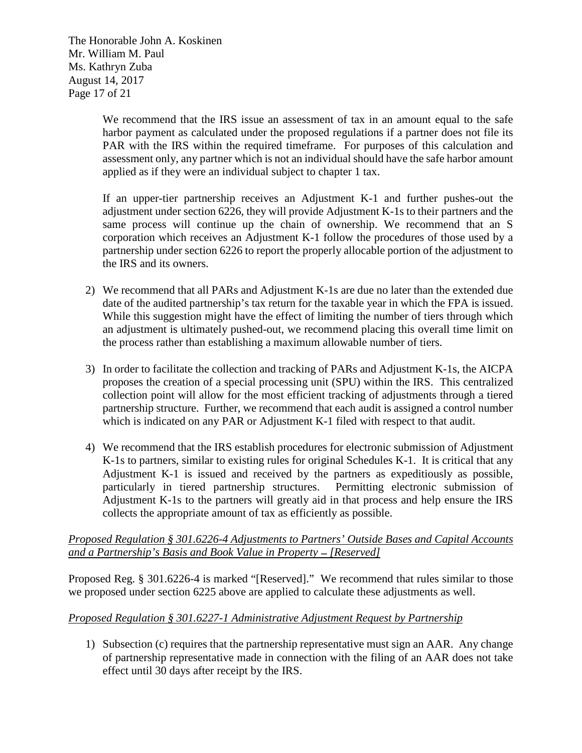The Honorable John A. Koskinen Mr. William M. Paul Ms. Kathryn Zuba August 14, 2017 Page 17 of 21

> We recommend that the IRS issue an assessment of tax in an amount equal to the safe harbor payment as calculated under the proposed regulations if a partner does not file its PAR with the IRS within the required timeframe. For purposes of this calculation and assessment only, any partner which is not an individual should have the safe harbor amount applied as if they were an individual subject to chapter 1 tax.

> If an upper-tier partnership receives an Adjustment K-1 and further pushes-out the adjustment under section 6226, they will provide Adjustment K-1s to their partners and the same process will continue up the chain of ownership. We recommend that an S corporation which receives an Adjustment K-1 follow the procedures of those used by a partnership under section 6226 to report the properly allocable portion of the adjustment to the IRS and its owners.

- 2) We recommend that all PARs and Adjustment K-1s are due no later than the extended due date of the audited partnership's tax return for the taxable year in which the FPA is issued. While this suggestion might have the effect of limiting the number of tiers through which an adjustment is ultimately pushed-out, we recommend placing this overall time limit on the process rather than establishing a maximum allowable number of tiers.
- 3) In order to facilitate the collection and tracking of PARs and Adjustment K-1s, the AICPA proposes the creation of a special processing unit (SPU) within the IRS. This centralized collection point will allow for the most efficient tracking of adjustments through a tiered partnership structure. Further, we recommend that each audit is assigned a control number which is indicated on any PAR or Adjustment K-1 filed with respect to that audit.
- 4) We recommend that the IRS establish procedures for electronic submission of Adjustment K-1s to partners, similar to existing rules for original Schedules K-1. It is critical that any Adjustment K-1 is issued and received by the partners as expeditiously as possible, particularly in tiered partnership structures. Permitting electronic submission of Adjustment K-1s to the partners will greatly aid in that process and help ensure the IRS collects the appropriate amount of tax as efficiently as possible.

### *Proposed Regulation § 301.6226-4 Adjustments to Partners' Outside Bases and Capital Accounts and a Partnership's Basis and Book Value in Property — [Reserved]*

Proposed Reg. § 301.6226-4 is marked "[Reserved]." We recommend that rules similar to those we proposed under section 6225 above are applied to calculate these adjustments as well.

## *Proposed Regulation § 301.6227-1 Administrative Adjustment Request by Partnership*

1) Subsection (c) requires that the partnership representative must sign an AAR. Any change of partnership representative made in connection with the filing of an AAR does not take effect until 30 days after receipt by the IRS.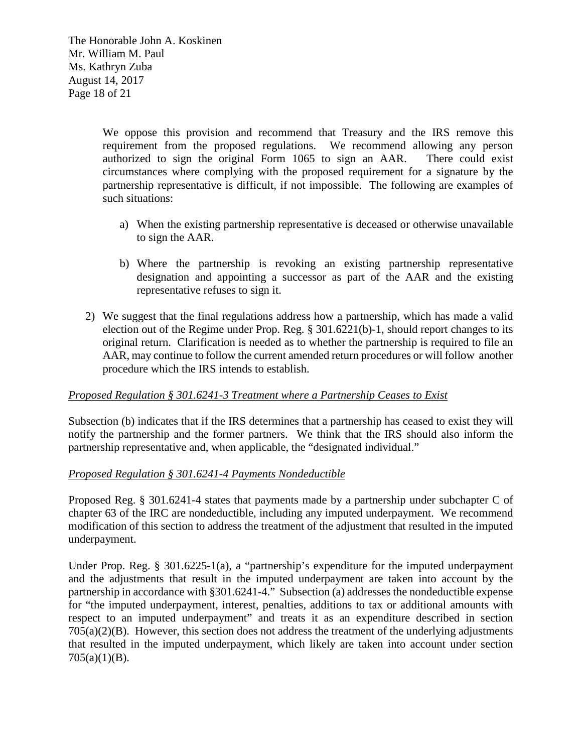The Honorable John A. Koskinen Mr. William M. Paul Ms. Kathryn Zuba August 14, 2017 Page 18 of 21

> We oppose this provision and recommend that Treasury and the IRS remove this requirement from the proposed regulations. We recommend allowing any person authorized to sign the original Form 1065 to sign an AAR. There could exist circumstances where complying with the proposed requirement for a signature by the partnership representative is difficult, if not impossible. The following are examples of such situations:

- a) When the existing partnership representative is deceased or otherwise unavailable to sign the AAR.
- b) Where the partnership is revoking an existing partnership representative designation and appointing a successor as part of the AAR and the existing representative refuses to sign it.
- 2) We suggest that the final regulations address how a partnership, which has made a valid election out of the Regime under Prop. Reg. § 301.6221(b)-1, should report changes to its original return. Clarification is needed as to whether the partnership is required to file an AAR, may continue to follow the current amended return procedures or will follow another procedure which the IRS intends to establish.

## *Proposed Regulation § 301.6241-3 Treatment where a Partnership Ceases to Exist*

Subsection (b) indicates that if the IRS determines that a partnership has ceased to exist they will notify the partnership and the former partners. We think that the IRS should also inform the partnership representative and, when applicable, the "designated individual."

#### *Proposed Regulation § 301.6241-4 Payments Nondeductible*

Proposed Reg. § 301.6241-4 states that payments made by a partnership under subchapter C of chapter 63 of the IRC are nondeductible, including any imputed underpayment. We recommend modification of this section to address the treatment of the adjustment that resulted in the imputed underpayment.

Under Prop. Reg. § 301.6225-1(a), a "partnership's expenditure for the imputed underpayment and the adjustments that result in the imputed underpayment are taken into account by the partnership in accordance with §301.6241-4." Subsection (a) addresses the nondeductible expense for "the imputed underpayment, interest, penalties, additions to tax or additional amounts with respect to an imputed underpayment" and treats it as an expenditure described in section 705(a)(2)(B). However, this section does not address the treatment of the underlying adjustments that resulted in the imputed underpayment, which likely are taken into account under section  $705(a)(1)(B)$ .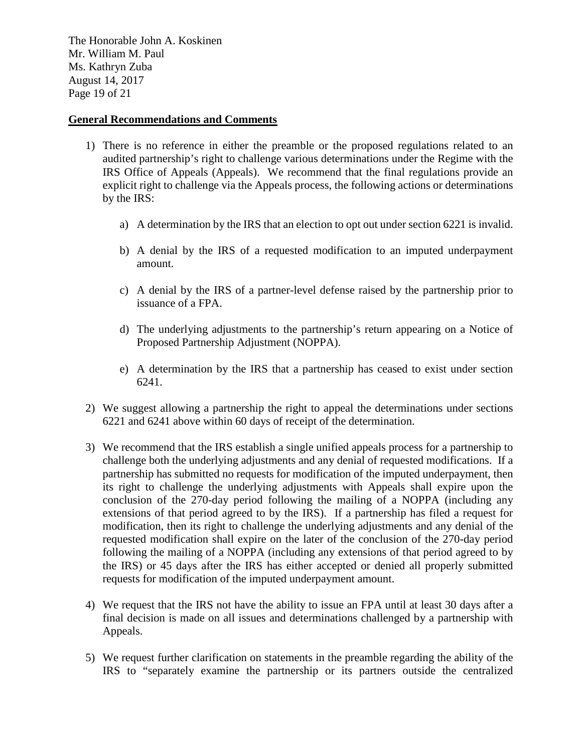The Honorable John A. Koskinen Mr. William M. Paul Ms. Kathryn Zuba August 14, 2017 Page 19 of 21

#### **General Recommendations and Comments**

- 1) There is no reference in either the preamble or the proposed regulations related to an audited partnership's right to challenge various determinations under the Regime with the IRS Office of Appeals (Appeals). We recommend that the final regulations provide an explicit right to challenge via the Appeals process, the following actions or determinations by the IRS:
	- a) A determination by the IRS that an election to opt out under section 6221 is invalid.
	- b) A denial by the IRS of a requested modification to an imputed underpayment amount.
	- c) A denial by the IRS of a partner-level defense raised by the partnership prior to issuance of a FPA.
	- d) The underlying adjustments to the partnership's return appearing on a Notice of Proposed Partnership Adjustment (NOPPA).
	- e) A determination by the IRS that a partnership has ceased to exist under section 6241.
- 2) We suggest allowing a partnership the right to appeal the determinations under sections 6221 and 6241 above within 60 days of receipt of the determination.
- 3) We recommend that the IRS establish a single unified appeals process for a partnership to challenge both the underlying adjustments and any denial of requested modifications. If a partnership has submitted no requests for modification of the imputed underpayment, then its right to challenge the underlying adjustments with Appeals shall expire upon the conclusion of the 270-day period following the mailing of a NOPPA (including any extensions of that period agreed to by the IRS). If a partnership has filed a request for modification, then its right to challenge the underlying adjustments and any denial of the requested modification shall expire on the later of the conclusion of the 270-day period following the mailing of a NOPPA (including any extensions of that period agreed to by the IRS) or 45 days after the IRS has either accepted or denied all properly submitted requests for modification of the imputed underpayment amount.
- 4) We request that the IRS not have the ability to issue an FPA until at least 30 days after a final decision is made on all issues and determinations challenged by a partnership with Appeals.
- 5) We request further clarification on statements in the preamble regarding the ability of the IRS to "separately examine the partnership or its partners outside the centralized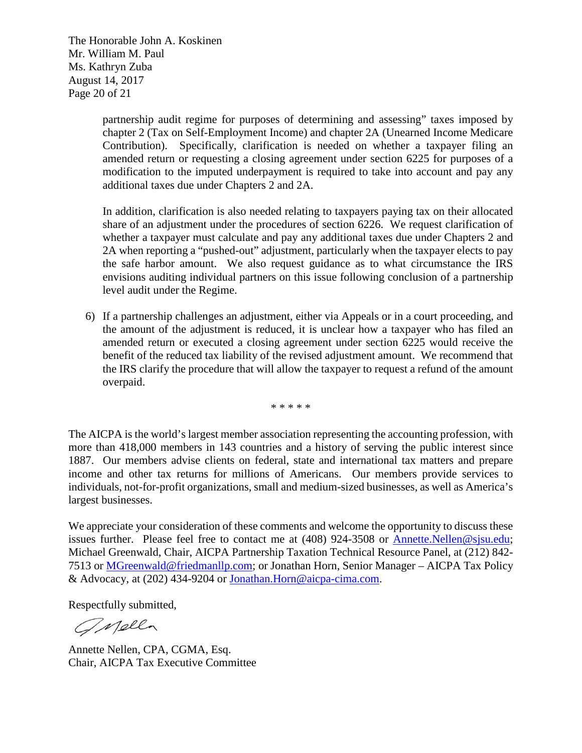The Honorable John A. Koskinen Mr. William M. Paul Ms. Kathryn Zuba August 14, 2017 Page 20 of 21

> partnership audit regime for purposes of determining and assessing" taxes imposed by chapter 2 (Tax on Self-Employment Income) and chapter 2A (Unearned Income Medicare Contribution). Specifically, clarification is needed on whether a taxpayer filing an amended return or requesting a closing agreement under section 6225 for purposes of a modification to the imputed underpayment is required to take into account and pay any additional taxes due under Chapters 2 and 2A.

> In addition, clarification is also needed relating to taxpayers paying tax on their allocated share of an adjustment under the procedures of section 6226. We request clarification of whether a taxpayer must calculate and pay any additional taxes due under Chapters 2 and 2A when reporting a "pushed-out" adjustment, particularly when the taxpayer elects to pay the safe harbor amount. We also request guidance as to what circumstance the IRS envisions auditing individual partners on this issue following conclusion of a partnership level audit under the Regime.

6) If a partnership challenges an adjustment, either via Appeals or in a court proceeding, and the amount of the adjustment is reduced, it is unclear how a taxpayer who has filed an amended return or executed a closing agreement under section 6225 would receive the benefit of the reduced tax liability of the revised adjustment amount. We recommend that the IRS clarify the procedure that will allow the taxpayer to request a refund of the amount overpaid.

\* \* \* \* \*

The AICPA is the world's largest member association representing the accounting profession, with more than 418,000 members in 143 countries and a history of serving the public interest since 1887. Our members advise clients on federal, state and international tax matters and prepare income and other tax returns for millions of Americans. Our members provide services to individuals, not-for-profit organizations, small and medium-sized businesses, as well as America's largest businesses.

We appreciate your consideration of these comments and welcome the opportunity to discuss these issues further. Please feel free to contact me at (408) 924-3508 or [Annette.Nellen@sjsu.edu;](mailto:Annette.Nellen@sjsu.edu) Michael Greenwald, Chair, AICPA Partnership Taxation Technical Resource Panel, at (212) 842- 7513 or [MGreenwald@friedmanllp.com;](mailto:MGreenwald@friedmanllp.com) or Jonathan Horn, Senior Manager – AICPA Tax Policy & Advocacy, at (202) 434-9204 or [Jonathan.Horn@aicpa-cima.com.](mailto:jonathan.horn@aicpa-cima.com)

Respectfully submitted,

Onella

Annette Nellen, CPA, CGMA, Esq. Chair, AICPA Tax Executive Committee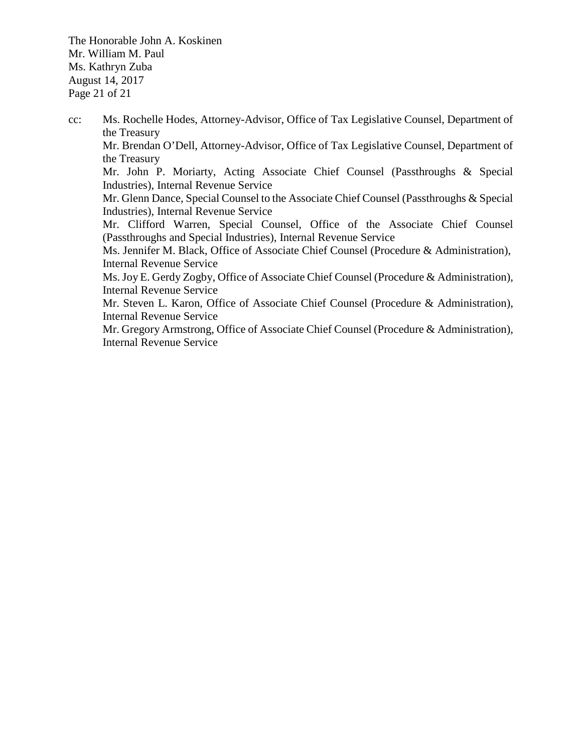The Honorable John A. Koskinen Mr. William M. Paul Ms. Kathryn Zuba August 14, 2017 Page 21 of 21

cc: Ms. Rochelle Hodes, Attorney-Advisor, Office of Tax Legislative Counsel, Department of the Treasury Mr. Brendan O'Dell, Attorney-Advisor, Office of Tax Legislative Counsel, Department of the Treasury Mr. John P. Moriarty, Acting Associate Chief Counsel (Passthroughs & Special Industries), Internal Revenue Service Mr. Glenn Dance, Special Counsel to the Associate Chief Counsel (Passthroughs & Special Industries), Internal Revenue Service Mr. Clifford Warren, Special Counsel, Office of the Associate Chief Counsel (Passthroughs and Special Industries), Internal Revenue Service Ms. Jennifer M. Black, Office of Associate Chief Counsel (Procedure & Administration), Internal Revenue Service Ms. Joy E. Gerdy Zogby, Office of Associate Chief Counsel (Procedure & Administration), Internal Revenue Service Mr. Steven L. Karon, Office of Associate Chief Counsel (Procedure & Administration), Internal Revenue Service Mr. Gregory Armstrong, Office of Associate Chief Counsel (Procedure & Administration), Internal Revenue Service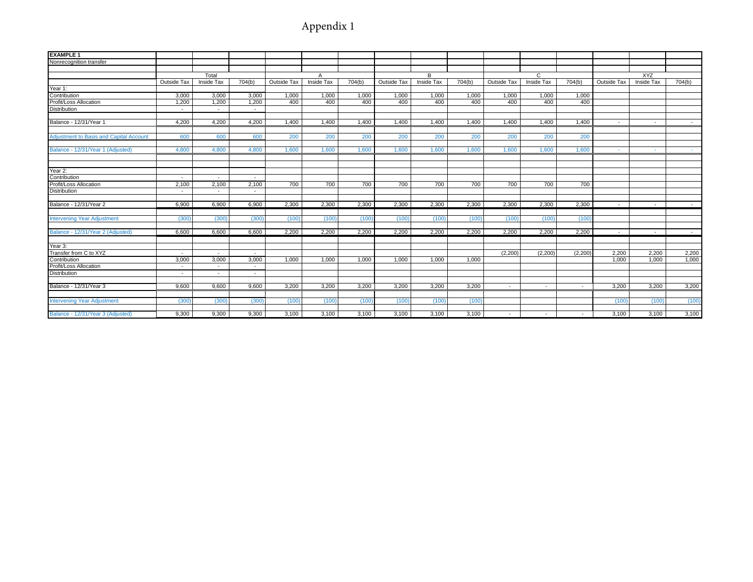# Appendix 1

| <b>EXAMPLE 1</b>                               |             |                          |                          |              |                   |        |             |            |        |                    |            |         |             |                   |        |
|------------------------------------------------|-------------|--------------------------|--------------------------|--------------|-------------------|--------|-------------|------------|--------|--------------------|------------|---------|-------------|-------------------|--------|
| Nonrecognition transfer                        |             |                          |                          |              |                   |        |             |            |        |                    |            |         |             |                   |        |
|                                                |             |                          |                          |              |                   |        |             |            |        |                    |            |         |             |                   |        |
|                                                |             | Total                    |                          | $\mathsf{A}$ |                   |        | B           |            |        | $\overline{c}$     |            |         | <b>XYZ</b>  |                   |        |
|                                                | Outside Tax | Inside Tax               | 704(b)                   | Outside Tax  | <b>Inside Tax</b> | 704(b) | Outside Tax | Inside Tax | 704(b) | <b>Outside Tax</b> | Inside Tax | 704(b)  | Outside Tax | <b>Inside Tax</b> | 704(b) |
| Year 1:                                        |             |                          |                          |              |                   |        |             |            |        |                    |            |         |             |                   |        |
| Contribution                                   | 3,000       | 3,000                    | 3,000                    | 1,000        | 1.000             | 1,000  | 1,000       | 1,000      | 1,000  | 1,000              | 1,000      | 1,000   |             |                   |        |
| Profit/Loss Allocation                         | 1,200       | 1,200                    | 1,200                    | 400          | 400               | 400    | 400         | 400        | 400    | 400                | 400        | 400     |             |                   |        |
| <b>Distribution</b>                            | $\sim$      | $\overline{\phantom{a}}$ | $\overline{\phantom{a}}$ |              |                   |        |             |            |        |                    |            |         |             |                   |        |
|                                                |             |                          |                          |              |                   |        |             |            |        |                    |            |         |             |                   |        |
| Balance - 12/31/Year 1                         | 4,200       | 4,200                    | 4,200                    | 1,400        | 1,400             | 1,400  | 1,400       | 1,400      | 1,400  | 1,400              | 1,400      | 1,400   | $\sim$      | $\sim$            | $\sim$ |
|                                                |             |                          |                          |              |                   |        |             |            |        |                    |            |         |             |                   |        |
| <b>Adjustment to Basis and Capital Account</b> | 600         | 600                      | 600                      | 200          | 200               | 200    | 200         | 200        | 200    | 200                | 200        | 200     |             |                   |        |
|                                                |             |                          |                          |              |                   |        |             |            |        |                    |            |         |             |                   |        |
| Balance - 12/31/Year 1 (Adjusted)              | 4,800       | 4,800                    | 4,800                    | 1,600        | 1,600             | 1,600  | 1,600       | 1,600      | 1,600  | 1,600              | 1,600      | 1,600   | $\sim$      | $\sim$            |        |
|                                                |             |                          |                          |              |                   |        |             |            |        |                    |            |         |             |                   |        |
|                                                |             |                          |                          |              |                   |        |             |            |        |                    |            |         |             |                   |        |
| Year 2:                                        |             |                          |                          |              |                   |        |             |            |        |                    |            |         |             |                   |        |
| Contribution                                   | $\sim$      | $\sim$                   | $\sim$                   |              |                   |        |             |            |        |                    |            |         |             |                   |        |
| Profit/Loss Allocation                         | 2,100       | 2,100                    | 2,100                    | 700          | 700               | 700    | 700         | 700        | 700    | 700                | 700        | 700     |             |                   |        |
| <b>Distribution</b>                            | $\sim$      |                          |                          |              |                   |        |             |            |        |                    |            |         |             |                   |        |
|                                                |             |                          |                          |              |                   |        |             |            |        |                    |            |         |             |                   |        |
| Balance - 12/31/Year 2                         | 6,900       | 6,900                    | 6,900                    | 2,300        | 2,300             | 2,300  | 2,300       | 2,300      | 2,300  | 2,300              | 2,300      | 2,300   | $\sim$      | $\sim$            |        |
|                                                |             |                          |                          |              |                   |        |             |            |        |                    |            |         |             |                   |        |
| <b>Intervening Year Adjustment</b>             | (300)       | (300)                    | (300)                    | (100)        | (100)             | (100)  | (100)       | (100)      | (100)  | (100)              | (100)      | (100)   |             |                   |        |
|                                                |             |                          |                          |              |                   |        |             |            |        |                    |            |         |             |                   |        |
| Balance - 12/31/Year 2 (Adjusted)              | 6.600       | 6.600                    | 6.600                    | 2.200        | 2.200             | 2.200  | 2.200       | 2,200      | 2.200  | 2.200              | 2.200      | 2.200   | $\sim$      | $\sim$            | $\sim$ |
|                                                |             |                          |                          |              |                   |        |             |            |        |                    |            |         |             |                   |        |
| Year 3:                                        |             |                          |                          |              |                   |        |             |            |        |                    |            |         |             |                   |        |
| Transfer from C to XYZ                         | $\sim$      | $\sim$                   | $\sim$                   |              |                   |        |             |            |        | (2.200)            | (2, 200)   | (2.200) | 2.200       | 2.200             | 2,200  |
| Contribution                                   | 3,000       | 3,000                    | 3,000                    | 1,000        | 1,000             | 1,000  | 1,000       | 1,000      | 1,000  |                    |            |         | 1,000       | 1,000             | 1,000  |
| Profit/Loss Allocation                         | $\sim$      | $\sim$                   | $\sim$                   |              |                   |        |             |            |        |                    |            |         |             |                   |        |
| <b>Distribution</b>                            | $\sim$      | $\overline{a}$           | $\overline{\phantom{a}}$ |              |                   |        |             |            |        |                    |            |         |             |                   |        |
|                                                |             |                          |                          |              |                   |        |             |            |        |                    |            |         |             |                   |        |
| Balance - 12/31/Year 3                         | 9,600       | 9,600                    | 9,600                    | 3,200        | 3,200             | 3,200  | 3,200       | 3,200      | 3,200  | $\sim$             | $\sim$     | $\sim$  | 3,200       | 3,200             | 3,200  |
|                                                |             |                          |                          |              |                   |        |             |            |        |                    |            |         |             |                   |        |
| <b>Intervening Year Adjustment</b>             | (300)       | (300)                    | (300)                    | (100)        | (100)             | (100)  | (100)       | (100)      | (100)  |                    |            |         | (100)       | (100)             | (100)  |
|                                                |             |                          |                          |              |                   |        |             |            |        |                    |            |         |             |                   |        |
| Balance - 12/31/Year 3 (Adjusted)              | 9,300       | 9,300                    | 9,300                    | 3,100        | 3,100             | 3,100  | 3,100       | 3,100      | 3,100  |                    |            |         | 3,100       | 3.100             | 3,100  |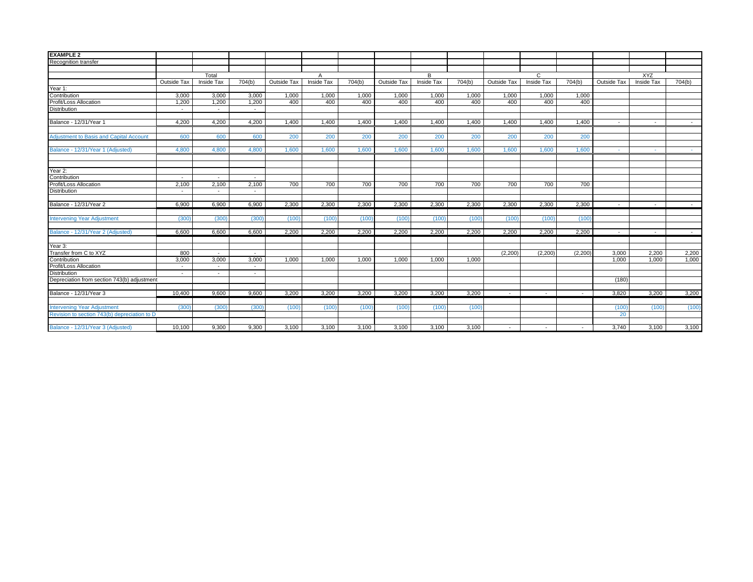| <b>EXAMPLE 2</b>                               |                |                          |                          |              |            |        |             |                   |        |                          |                          |         |                          |                   |                |
|------------------------------------------------|----------------|--------------------------|--------------------------|--------------|------------|--------|-------------|-------------------|--------|--------------------------|--------------------------|---------|--------------------------|-------------------|----------------|
| Recognition transfer                           |                |                          |                          |              |            |        |             |                   |        |                          |                          |         |                          |                   |                |
|                                                |                |                          |                          |              |            |        |             |                   |        |                          |                          |         |                          |                   |                |
|                                                |                | Total                    |                          | $\mathsf{A}$ |            |        | B           |                   |        | C                        |                          |         | <b>XYZ</b>               |                   |                |
|                                                | Outside Tax    | <b>Inside Tax</b>        | 704(b)                   | Outside Tax  | Inside Tax | 704(b) | Outside Tax | <b>Inside Tax</b> | 704(b) | Outside Tax              | Inside Tax               | 704(b)  | Outside Tax              | <b>Inside Tax</b> | 704(b)         |
| Year 1:                                        |                |                          |                          |              |            |        |             |                   |        |                          |                          |         |                          |                   |                |
| Contribution                                   | 3.000          | 3.000                    | 3.000                    | 1.000        | 1,000      | 1.000  | 1.000       | 1,000             | 1.000  | 1.000                    | 1.000                    | 1.000   |                          |                   |                |
| Profit/Loss Allocation                         | 1,200          | 1,200                    | 1,200                    | 400          | 400        | 400    | 400         | 400               | 400    | 400                      | 400                      | 400     |                          |                   |                |
| <b>Distribution</b>                            | $\sim$         | $\sim$                   | $\overline{\phantom{a}}$ |              |            |        |             |                   |        |                          |                          |         |                          |                   |                |
|                                                |                |                          |                          |              |            |        |             |                   |        |                          |                          |         |                          |                   |                |
| Balance - 12/31/Year 1                         | 4,200          | 4,200                    | 4,200                    | 1,400        | 1,400      | 1,400  | 1,400       | 1,400             | 1,400  | 1,400                    | 1.400                    | 1,400   | $\sim$                   | $\overline{a}$    |                |
| <b>Adjustment to Basis and Capital Account</b> | 600            | 600                      | 600                      | 200          | 200        | 200    | 200         | 200               | 200    | 200                      | 200                      | 200     |                          |                   |                |
|                                                |                |                          |                          |              |            |        |             |                   |        |                          |                          |         |                          |                   |                |
| Balance - 12/31/Year 1 (Adjusted)              | 4.800          | 4.800                    | 4.800                    | 1.600        | 1.600      | 1.600  | 1.600       | 1.600             | 1.600  | 1.600                    | 1.600                    | 1.600   | $\sim$                   | <b>Section</b>    | <b>Section</b> |
|                                                |                |                          |                          |              |            |        |             |                   |        |                          |                          |         |                          |                   |                |
| Year 2:                                        |                |                          |                          |              |            |        |             |                   |        |                          |                          |         |                          |                   |                |
| Contribution                                   | $\overline{a}$ | $\overline{\phantom{a}}$ |                          |              |            |        |             |                   |        |                          |                          |         |                          |                   |                |
| Profit/Loss Allocation                         | 2.100          | 2,100                    | 2,100                    | 700          | 700        | 700    | 700         | 700               | 700    | 700                      | 700                      | 700     |                          |                   |                |
| <b>Distribution</b>                            | $\sim$         | $\overline{a}$           |                          |              |            |        |             |                   |        |                          |                          |         |                          |                   |                |
|                                                |                |                          |                          |              |            |        |             |                   |        |                          |                          |         |                          |                   |                |
| Balance - 12/31/Year 2                         | 6,900          | 6,900                    | 6,900                    | 2,300        | 2,300      | 2,300  | 2,300       | 2,300             | 2,300  | 2,300                    | 2,300                    | 2,300   | $\sim$                   | $\sim$            |                |
| <b>Intervening Year Adjustment</b>             | (300)          | (300)                    | (300)                    | (100)        | (100)      | (100)  | (100)       | (100)             | (100)  | (100)                    | (100)                    | (100)   |                          |                   |                |
|                                                |                |                          |                          |              |            |        |             |                   |        |                          |                          |         |                          |                   |                |
| Balance - 12/31/Year 2 (Adjusted)              | 6,600          | 6,600                    | 6,600                    | 2,200        | 2,200      | 2,200  | 2,200       | 2,200             | 2,200  | 2,200                    | 2,200                    | 2,200   | $\overline{\phantom{a}}$ | $\sim$            | $\sim$         |
| Year 3:                                        |                |                          |                          |              |            |        |             |                   |        |                          |                          |         |                          |                   |                |
| Transfer from C to XYZ                         | 800            | $\sim$                   |                          |              |            |        |             |                   |        | (2,200)                  | (2, 200)                 | (2,200) | 3.000                    | 2,200             | 2,200          |
| Contribution                                   | 3,000          | 3.000                    | 3,000                    | 1.000        | 1,000      | 1,000  | 1,000       | 1,000             | 1,000  |                          |                          |         | 1.000                    | 1.000             | 1,000          |
| Profit/Loss Allocation                         | $\sim$         | $\sim$                   |                          |              |            |        |             |                   |        |                          |                          |         |                          |                   |                |
| Distribution                                   | $\sim$         | $\overline{\phantom{a}}$ | $\overline{a}$           |              |            |        |             |                   |        |                          |                          |         |                          |                   |                |
| Depreciation from section 743(b) adjustment    |                |                          |                          |              |            |        |             |                   |        |                          |                          |         | (180)                    |                   |                |
|                                                |                |                          |                          |              |            |        |             |                   |        |                          |                          |         |                          |                   |                |
| Balance - 12/31/Year 3                         | 10.400         | 9.600                    | 9.600                    | 3.200        | 3.200      | 3.200  | 3,200       | 3,200             | 3.200  | $\overline{\phantom{a}}$ | $\overline{\phantom{a}}$ |         | 3.820                    | 3,200             | 3,200          |
| <b>Intervening Year Adjustment</b>             | (300)          | (300)                    | (300)                    | (100)        | (100)      | (100)  | (100)       | (100)             | (100)  |                          |                          |         | (100)                    | (100)             | (100)          |
| Revision to section 743(b) depreciation to D   |                |                          |                          |              |            |        |             |                   |        |                          |                          |         | 20                       |                   |                |
|                                                |                |                          |                          |              |            |        |             |                   |        |                          |                          |         |                          |                   |                |
| Balance - 12/31/Year 3 (Adjusted)              | 10,100         | 9,300                    | 9,300                    | 3,100        | 3,100      | 3,100  | 3,100       | 3,100             | 3,100  |                          |                          |         | 3,740                    | 3,100             | 3,100          |